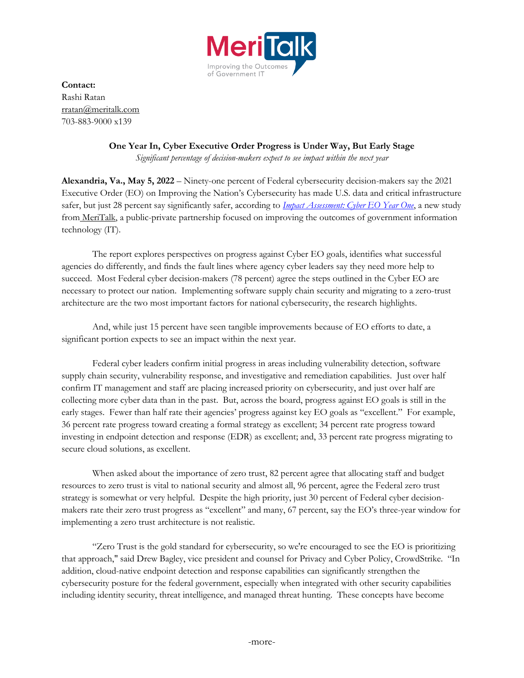

**Contact:** Rashi Ratan [rratan@meritalk.com](mailto:rratan@meritalk.com) 703-883-9000 x139

## **One Year In, Cyber Executive Order Progress is Under Way, But Early Stage**

*Significant percentage of decision-makers expect to see impact within the next year*

**Alexandria, Va., May 5, 2022** – Ninety-one percent of Federal cybersecurity decision-makers say the 2021 Executive Order (EO) on Improving the Nation's Cybersecurity has made U.S. data and critical infrastructure safer, but just 28 percent say significantly safer, according to *[Impact Assessment: Cyber EO Year One](https://www.meritalk.com/study/impact-assessment-cyber-eo-year-one/?campaign=pressrelease)*, a new study from [MeriTalk,](https://www.meritalk.com/) a public-private partnership focused on improving the outcomes of government information technology (IT).

The report explores perspectives on progress against Cyber EO goals, identifies what successful agencies do differently, and finds the fault lines where agency cyber leaders say they need more help to succeed. Most Federal cyber decision-makers (78 percent) agree the steps outlined in the Cyber EO are necessary to protect our nation. Implementing software supply chain security and migrating to a zero-trust architecture are the two most important factors for national cybersecurity, the research highlights.

And, while just 15 percent have seen tangible improvements because of EO efforts to date, a significant portion expects to see an impact within the next year.

Federal cyber leaders confirm initial progress in areas including vulnerability detection, software supply chain security, vulnerability response, and investigative and remediation capabilities. Just over half confirm IT management and staff are placing increased priority on cybersecurity, and just over half are collecting more cyber data than in the past. But, across the board, progress against EO goals is still in the early stages. Fewer than half rate their agencies' progress against key EO goals as "excellent." For example, 36 percent rate progress toward creating a formal strategy as excellent; 34 percent rate progress toward investing in endpoint detection and response (EDR) as excellent; and, 33 percent rate progress migrating to secure cloud solutions, as excellent.

When asked about the importance of zero trust, 82 percent agree that allocating staff and budget resources to zero trust is vital to national security and almost all, 96 percent, agree the Federal zero trust strategy is somewhat or very helpful. Despite the high priority, just 30 percent of Federal cyber decisionmakers rate their zero trust progress as "excellent" and many, 67 percent, say the EO's three-year window for implementing a zero trust architecture is not realistic.

"Zero Trust is the gold standard for cybersecurity, so we're encouraged to see the EO is prioritizing that approach," said Drew Bagley, vice president and counsel for Privacy and Cyber Policy, CrowdStrike. "In addition, cloud-native endpoint detection and response capabilities can significantly strengthen the cybersecurity posture for the federal government, especially when integrated with other security capabilities including identity security, threat intelligence, and managed threat hunting. These concepts have become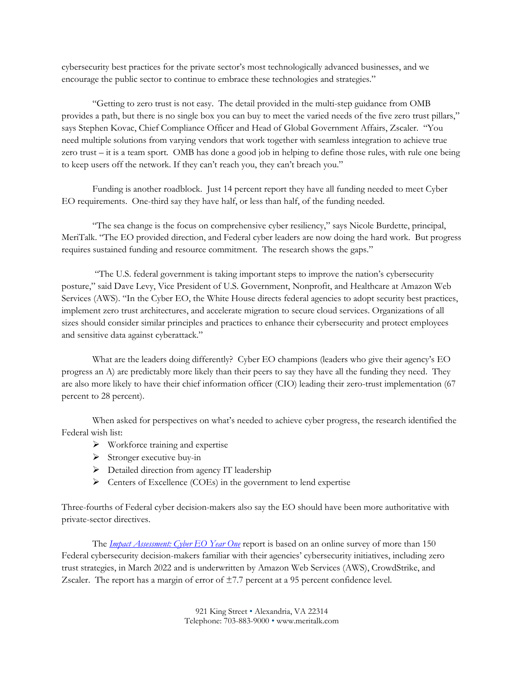cybersecurity best practices for the private sector's most technologically advanced businesses, and we encourage the public sector to continue to embrace these technologies and strategies."

"Getting to zero trust is not easy. The detail provided in the multi-step guidance from OMB provides a path, but there is no single box you can buy to meet the varied needs of the five zero trust pillars," says Stephen Kovac, Chief Compliance Officer and Head of Global Government Affairs, Zscaler. "You need multiple solutions from varying vendors that work together with seamless integration to achieve true zero trust – it is a team sport. OMB has done a good job in helping to define those rules, with rule one being to keep users off the network. If they can't reach you, they can't breach you."

Funding is another roadblock. Just 14 percent report they have all funding needed to meet Cyber EO requirements. One-third say they have half, or less than half, of the funding needed.

"The sea change is the focus on comprehensive cyber resiliency," says Nicole Burdette, principal, MeriTalk. "The EO provided direction, and Federal cyber leaders are now doing the hard work. But progress requires sustained funding and resource commitment. The research shows the gaps."

"The U.S. federal government is taking important steps to improve the nation's cybersecurity posture," said Dave Levy, Vice President of U.S. Government, Nonprofit, and Healthcare at Amazon Web Services (AWS). "In the Cyber EO, the White House directs federal agencies to adopt security best practices, implement zero trust architectures, and accelerate migration to secure cloud services. Organizations of all sizes should consider similar principles and practices to enhance their cybersecurity and protect employees and sensitive data against cyberattack."

What are the leaders doing differently? Cyber EO champions (leaders who give their agency's EO progress an A) are predictably more likely than their peers to say they have all the funding they need. They are also more likely to have their chief information officer (CIO) leading their zero-trust implementation (67 percent to 28 percent).

When asked for perspectives on what's needed to achieve cyber progress, the research identified the Federal wish list:

- $\triangleright$  Workforce training and expertise
- $\triangleright$  Stronger executive buy-in
- ➢ Detailed direction from agency IT leadership
- ➢ Centers of Excellence (COEs) in the government to lend expertise

Three-fourths of Federal cyber decision-makers also say the EO should have been more authoritative with private-sector directives.

The *[Impact Assessment: Cyber EO Year One](https://www.meritalk.com/study/impact-assessment-cyber-eo-year-one/?campaign=pressrelease)* report is based on an online survey of more than 150 Federal cybersecurity decision-makers familiar with their agencies' cybersecurity initiatives, including zero trust strategies, in March 2022 and is underwritten by Amazon Web Services (AWS), CrowdStrike, and Zscaler. The report has a margin of error of  $\pm$ 7.7 percent at a 95 percent confidence level.

> 921 King Street • Alexandria, VA 22314 Telephone: 703-883-9000 • www.meritalk.com